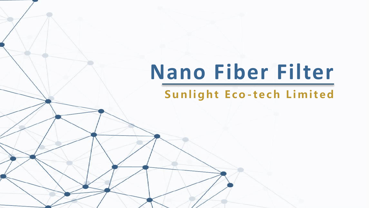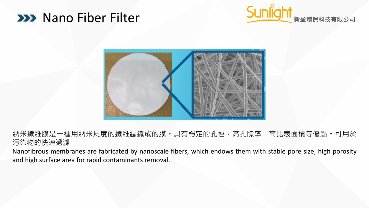### **EXP Nano Fiber Filter <b>And Accept State And Accept** West State of the Second State of the Second State of the Second State of the Second State of the Second State of the Second State of the Second State of the Second Stat





納米纖維膜是一種用納米尺度的纖維編織成的膜。具有穩定的孔徑,高孔隙率,高比表面積等優點。可用於 污染物的快速過濾。

Nanofibrous membranes are fabricated by nanoscale fibers, which endows them with stable pore size, high porosity and high surface area for rapid contaminants removal.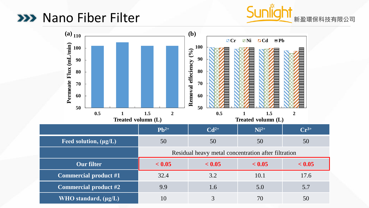## **XXX** Nano Fiber Filter



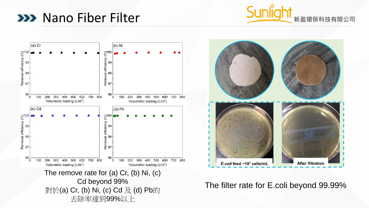## **XXX** Nano Fiber Filter







#### The filter rate for E.coli beyond 99.99%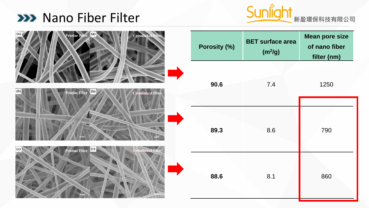



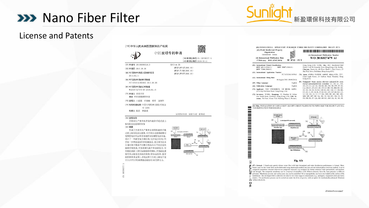# **XXX** Nano Fiber Filter



### License and Patents

|                                                                                                                                                                                                                                                                                                                                               | (10) 申请公布号 CN 109789377 A<br>(43)申请公布日 2019.05.21                                                                        |
|-----------------------------------------------------------------------------------------------------------------------------------------------------------------------------------------------------------------------------------------------------------------------------------------------------------------------------------------------|--------------------------------------------------------------------------------------------------------------------------|
| (21)申请号 201680088354.3<br>(22)申请日 2016.08.08<br>(85)PCT国际申请讲入国家阶段日<br>2019.02.11<br>(86)PCT国际申请的申请数据<br>PCT/CN2016/093965 2016.08.08<br>(B7)PCT国际申请的公布数据<br>W02018/027479 EN 2018.02.15<br>(71) 申请人 香港大学<br>地址 中国香港灌扶林道                                                                                                                       | $(51)$ Int. CI.<br>B01D 69/12(2006.01)<br>B010 71/06(2006.01)<br>B01D 29/07(2006.01)                                     |
| (72) 发明人 王建强 石晓楠 杨哲 汤初阳<br>(74) 专利代理机构 中国专利代理(香港)有限公<br>司 72001<br>代理人 徐品 林毅斌                                                                                                                                                                                                                                                                 | 权利要求书2页 说明书10页<br>附图面                                                                                                    |
| (54)发明名称<br>具有高生产量和水消毒性能的手提式重力<br><b>驱动的水过速器的制备</b><br>(57) 摘要<br>形成了具有高生产量和水消毒性能的手提<br>式重力驱动的水过滤器。用于该水过滤器的膜可<br>使用静电纺丝法和非溶剂诱导的相转化法制造。<br>设计了一种新型复合模结构(交织复合结构)用<br>干进一步增强诱水性和机械强度,复合膜可由来<br>自相同聚合物或不同聚合物的具有不同直径的<br>纳米纤维组成。可控制膜孔隙率和表面孔径。可<br>在膜的表面上原位加载银纳米颗粒。开发的过滤<br>器有效去除宽范围的污染物(例如病原体、悬浮<br>的国体和重金属),净化过程可在重力驱动下进<br>行(具有用于机械增强过滤洗项)而无需电力。 | PSF-DMF<br>道路设备!<br>50<br>均匀地存住区权 NP 系<br>52<br><b>Bud d</b><br>$rac{TMC}{CLQ+2}$<br><b><i><b>BB TEX 8</b></i></b><br>S6 |

国务务项目

(10) 由化 人民共和国国家如识产权民

 $\geq$ 

| (51) International Patent Classification:<br>BOW 69/12 (2006.01)<br>BOW 71/06 (2006.01)<br>(21) International Application Number:                                                                                                                                                                                       | BOW 29/07 (2006.01)                                          | Hong Kong (CN), YANG, Zhe; HKU Residential Hall<br>Block D 1407B, Kennedy Town, Hong Kong (CN). TANG,<br>Chuvang: Room 4A, 4th Floor, Block 3, Tam Towers, 25<br>Sha Wan Drive, Pokfulam, Hong Kong (CN).                                                                                                                                                                                                                                                                                                             |
|-------------------------------------------------------------------------------------------------------------------------------------------------------------------------------------------------------------------------------------------------------------------------------------------------------------------------|--------------------------------------------------------------|-----------------------------------------------------------------------------------------------------------------------------------------------------------------------------------------------------------------------------------------------------------------------------------------------------------------------------------------------------------------------------------------------------------------------------------------------------------------------------------------------------------------------|
| (22) International Filing Date:                                                                                                                                                                                                                                                                                         | PCT/CN2016/093965<br>08 August 2016 (08.08.2016)             | (74) Agent: CHINA PATENT AGENT (H.K.) LTD.: 22/F.,<br>Great Eagle Center, 23 Harbour Road, Wanchai, Hong<br>Kong (CN).                                                                                                                                                                                                                                                                                                                                                                                                |
| (25) Filing Language:<br>(26) Publication Language:<br>(71) Applicant: THE UNIVERSITY OF HONG KONG<br>[CN/CN]; Pokfulam Road, Hong Kong (CN).<br>(72) Inventors: WANG, Jiangiang; 3F, Number 50 Gillies<br>Ave South Road, Kowloon, Hong Kong (CN). SIII, Xi-<br>aonan: 7th Floor. Kwan Yick Building Phase I. Western. | English<br>English                                           | (81) Designated States (unless otherwise indicated, for every<br>kind of national protection available): AE, AG, AL, AM,<br>AO, AT, AU, AZ, BA, BB, BG, BH, BN, BR, BW, BY, BZ,<br>CA, CH, CL, CN, CO, CR, CU, CZ, DE, DK, DM, DO, DZ,<br>EC, EE, EG, ES, Fl, GB, GD, GE, GH, GM, GT, HN, HR,<br>HU, ID, IL, IN, IR, IS, JP, KE, KG, KN, KP, KR, KZ, LA,<br>LC, LK, LR, LS, LU, LY, MA, MD, ME, MG, MK, MN,<br>MW, MX, MY, MZ, NA, NG, NI, NO, NZ, OM, PA, PE,<br>PG. PH. PL. PT. OA. RO. RS. RU. RW. SA. SC. SD. SE. |
| TER DISINFECTION PERFORMANCE<br><b>PEX GUE CARDING</b><br>solution<br>50                                                                                                                                                                                                                                                | In site deposit NPs izonr evenly<br><b>Polysuffane Laver</b> | (54) Title: PREPARATION OF HAND-CARRY GRAVITY-DRIVEN WATER FILTER WITH HIGH THROUGHPUT AND WA-<br>52                                                                                                                                                                                                                                                                                                                                                                                                                  |

 $\overline{z}$ 

 $\frac{1}{2}$ 

Fig. 6b

 $\bigotimes$  (55) Abstract: A hand-carry gravity-driven water filter with high throughput and water disinfection performance is formed. Memory these cosed for this water filter can be fibricated using electrongen arched and non polymers. Memorane porosity and surface pore size can be controlled. Silver nanoparticles can be in-situ loaded on the surface of the<br>10 membranes. The developed filter is effective for removal of a wide range of contamina **as** membranes. The developed filter is effective for removal of a wide range of contaminants (e.g., pathogens, suspended solids and heavy<br>  $\frac{v_1}{v_2}$  metals). The purification process can be carried out under the driv

[Continued on nextpage]